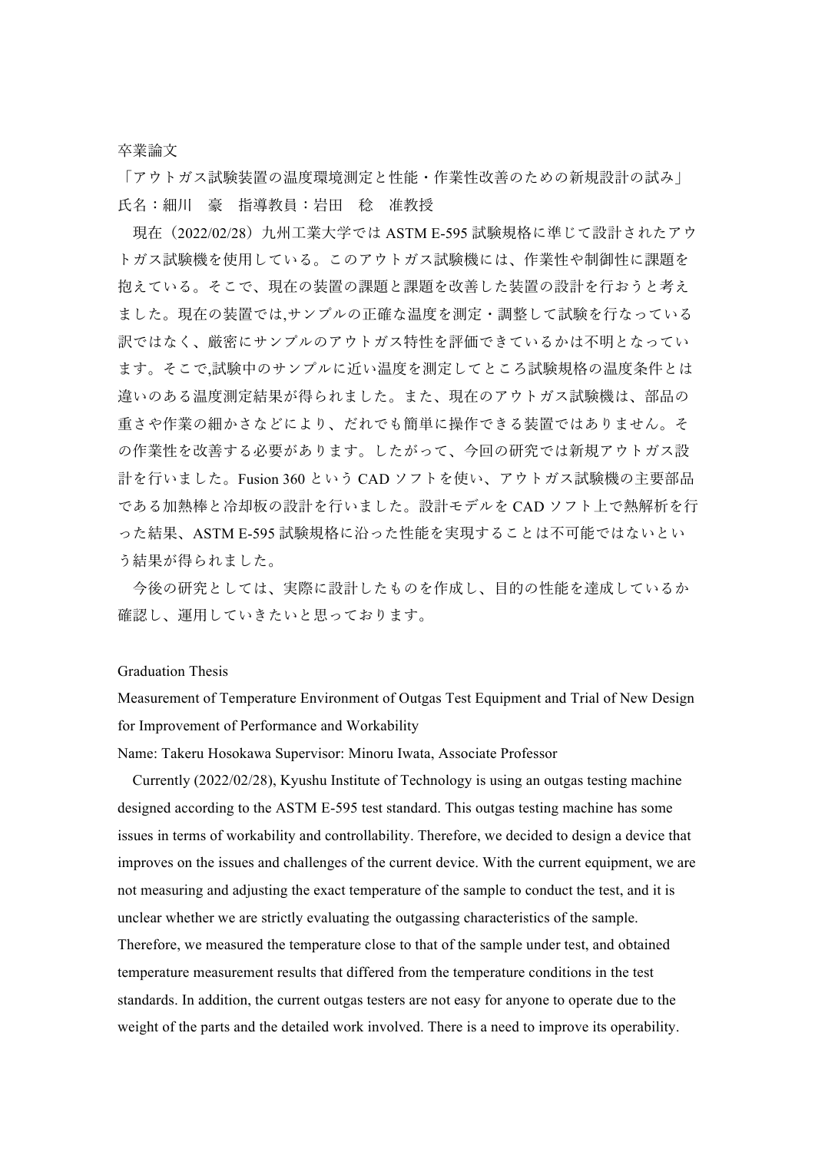卒業論⽂

「アウトガス試験装置の温度環境測定と性能・作業性改善のための新規設計の試み」 氏名:細川 豪 指導教員:岩田 稔 准教授

現在 (2022/02/28) 九州工業大学では ASTM E-595 試験規格に準じて設計されたアウ トガス試験機を使⽤している。このアウトガス試験機には、作業性や制御性に課題を 抱えている。そこで、現在の装置の課題と課題を改善した装置の設計を⾏おうと考え ました。現在の装置では,サンプルの正確な温度を測定・調整して試験を⾏なっている 訳ではなく、厳密にサンプルのアウトガス特性を評価できているかは不明となってい ます。そこで,試験中のサンプルに近い温度を測定してところ試験規格の温度条件とは 違いのある温度測定結果が得られました。また、現在のアウトガス試験機は、部品の 重さや作業の細かさなどにより、だれでも簡単に操作できる装置ではありません。そ の作業性を改善する必要があります。したがって、今回の研究では新規アウトガス設 計を⾏いました。Fusion 360 という CAD ソフトを使い、アウトガス試験機の主要部品 である加熱棒と冷却板の設計を行いました。設計モデルを CAD ソフト上で熱解析を行 った結果、ASTM E-595 試験規格に沿った性能を実現することは不可能ではないとい う結果が得られました。

今後の研究としては、実際に設計したものを作成し、⽬的の性能を達成しているか 確認し、運用していきたいと思っております。

## Graduation Thesis

Measurement of Temperature Environment of Outgas Test Equipment and Trial of New Design for Improvement of Performance and Workability

Name: Takeru Hosokawa Supervisor: Minoru Iwata, Associate Professor

Currently (2022/02/28), Kyushu Institute of Technology is using an outgas testing machine designed according to the ASTM E-595 test standard. This outgas testing machine has some issues in terms of workability and controllability. Therefore, we decided to design a device that improves on the issues and challenges of the current device. With the current equipment, we are not measuring and adjusting the exact temperature of the sample to conduct the test, and it is unclear whether we are strictly evaluating the outgassing characteristics of the sample. Therefore, we measured the temperature close to that of the sample under test, and obtained temperature measurement results that differed from the temperature conditions in the test standards. In addition, the current outgas testers are not easy for anyone to operate due to the weight of the parts and the detailed work involved. There is a need to improve its operability.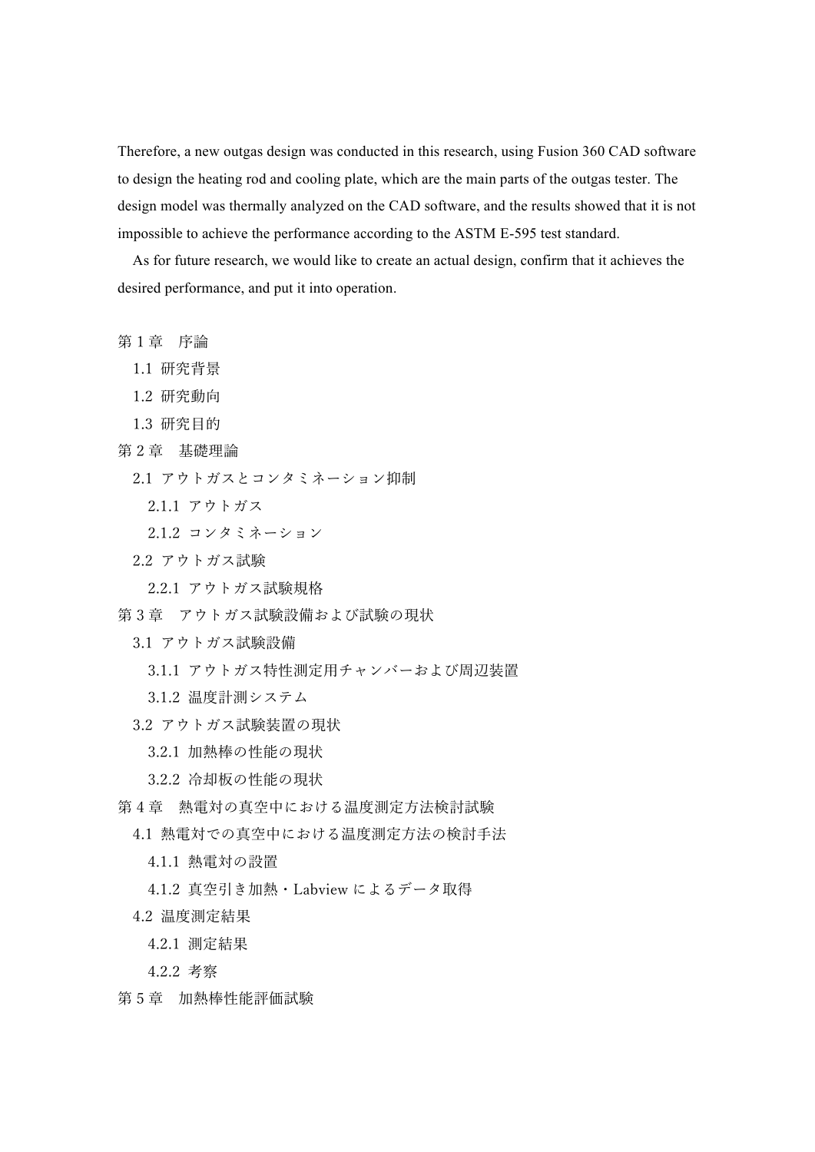Therefore, a new outgas design was conducted in this research, using Fusion 360 CAD software to design the heating rod and cooling plate, which are the main parts of the outgas tester. The design model was thermally analyzed on the CAD software, and the results showed that it is not impossible to achieve the performance according to the ASTM E-595 test standard.

As for future research, we would like to create an actual design, confirm that it achieves the desired performance, and put it into operation.

- 第 1 章 序論
	- 1.1 研究背景
	- 1.2 研究動向
	- 1.3 研究⽬的
- 第 2 章 基礎理論
	- 2.1 アウトガスとコンタミネーション抑制
		- 2.1.1 アウトガス
		- 2.1.2 コンタミネーション
	- 2.2 アウトガス試験
		- 2.2.1 アウトガス試験規格
- 第 3 章 アウトガス試験設備および試験の現状
	- 3.1 アウトガス試験設備
		- 3.1.1 アウトガス特性測定用チャンバーおよび周辺装置
		- 3.1.2 温度計測システム
	- 3.2 アウトガス試験装置の現状
		- 3.2.1 加熱棒の性能の現状
		- 3.2.2 冷却板の性能の現状
- 第4章 熱電対の真空中における温度測定方法検討試験
	- 4.1 熱電対での真空中における温度測定方法の検討手法
		- 4.1.1 熱電対の設置
		- 4.1.2 真空引き加熱・Labview によるデータ取得
	- 4.2 温度測定結果
		- 4.2.1 測定結果
		- 4.2.2 考察
- 第 5 章 加熱棒性能評価試験